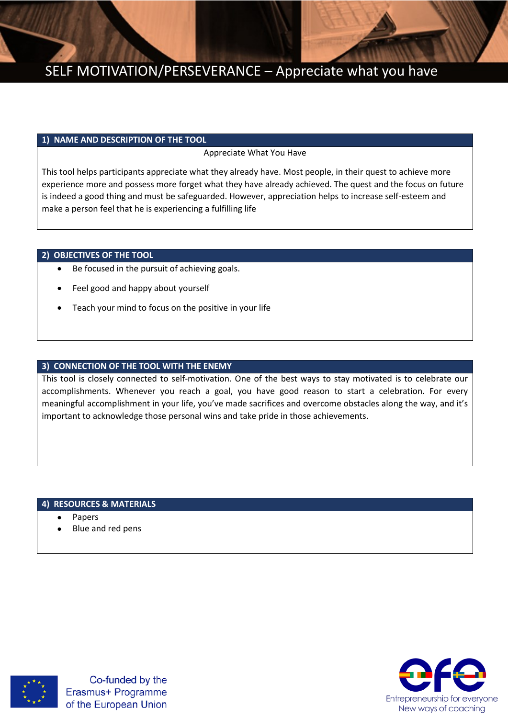

# SELF MOTIVATION/PERSEVERANCE – Appreciate what you have

### **1) NAME AND DESCRIPTION OF THE TOOL**

Appreciate What You Have

This tool helps participants appreciate what they already have. Most people, in their quest to achieve more experience more and possess more forget what they have already achieved. The quest and the focus on future is indeed a good thing and must be safeguarded. However, appreciation helps to increase self-esteem and make a person feel that he is experiencing a fulfilling life

## **2) OBJECTIVES OF THE TOOL**

- Be focused in the pursuit of achieving goals.
- Feel good and happy about yourself
- Teach your mind to focus on the positive in your life

## **3) CONNECTION OF THE TOOL WITH THE ENEMY**

This tool is closely connected to self-motivation. One of the best ways to stay motivated is to celebrate our accomplishments. Whenever you reach a goal, you have good reason to start a celebration. For every meaningful accomplishment in your life, you've made sacrifices and overcome obstacles along the way, and it's important to acknowledge those personal wins and take pride in those achievements.

#### **4) RESOURCES & MATERIALS**

- Papers
- Blue and red pens



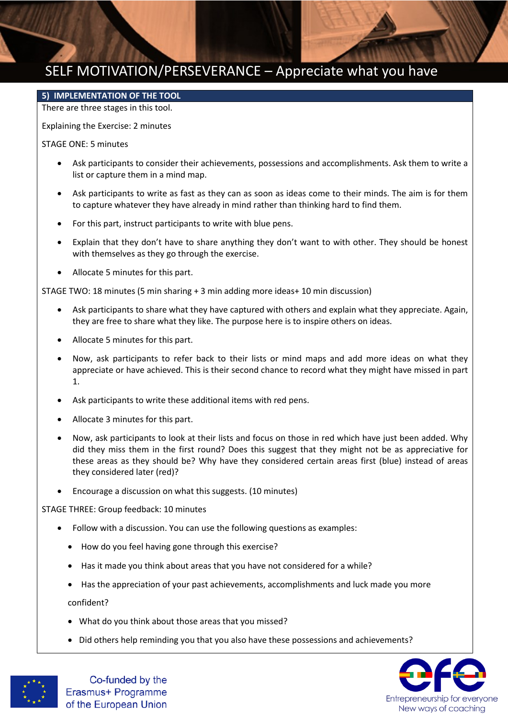# SELF MOTIVATION/PERSEVERANCE – Appreciate what you have

#### **5) IMPLEMENTATION OF THE TOOL**

There are three stages in this tool.

Explaining the Exercise: 2 minutes

STAGE ONE: 5 minutes

- Ask participants to consider their achievements, possessions and accomplishments. Ask them to write a list or capture them in a mind map.
- Ask participants to write as fast as they can as soon as ideas come to their minds. The aim is for them to capture whatever they have already in mind rather than thinking hard to find them.
- For this part, instruct participants to write with blue pens.
- Explain that they don't have to share anything they don't want to with other. They should be honest with themselves as they go through the exercise.
- Allocate 5 minutes for this part.

STAGE TWO: 18 minutes (5 min sharing + 3 min adding more ideas+ 10 min discussion)

- Ask participants to share what they have captured with others and explain what they appreciate. Again, they are free to share what they like. The purpose here is to inspire others on ideas.
- Allocate 5 minutes for this part.
- Now, ask participants to refer back to their lists or mind maps and add more ideas on what they appreciate or have achieved. This is their second chance to record what they might have missed in part 1.
- Ask participants to write these additional items with red pens.
- Allocate 3 minutes for this part.
- Now, ask participants to look at their lists and focus on those in red which have just been added. Why did they miss them in the first round? Does this suggest that they might not be as appreciative for these areas as they should be? Why have they considered certain areas first (blue) instead of areas they considered later (red)?
- Encourage a discussion on what this suggests. (10 minutes)

STAGE THREE: Group feedback: 10 minutes

- Follow with a discussion. You can use the following questions as examples:
	- How do you feel having gone through this exercise?
	- Has it made you think about areas that you have not considered for a while?
	- Has the appreciation of your past achievements, accomplishments and luck made you more confident?
	- What do you think about those areas that you missed?
	- Did others help reminding you that you also have these possessions and achievements?